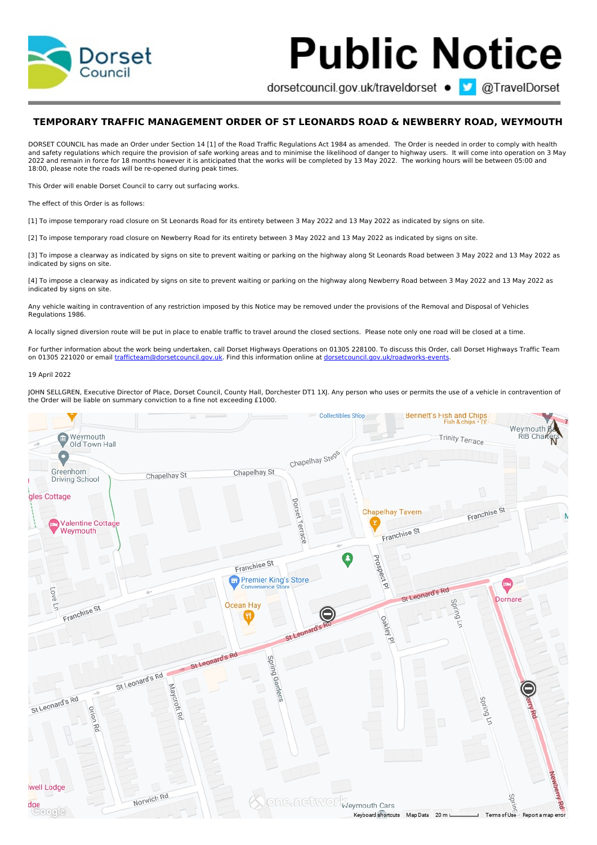

## **Public Notice**

dorsetcouncil.gov.uk/traveldorset ● ■ @TravelDorset

## **TEMPORARY TRAFFIC MANAGEMENT ORDER OF ST LEONARDS ROAD & NEWBERRY ROAD, WEYMOUTH**

DORSET COUNCIL has made an Order under Section 14 [1] of the Road Traffic Regulations Act 1984 as amended. The Order is needed in order to comply with health and safety regulations which require the provision of safe working areas and to minimise the likelihood of danger to highway users. It will come into operation on 3 May 2022 and remain in force for 18 months however it is anticipated that the works will be completed by 13 May 2022. The working hours will be between 05:00 and 18:00, please note the roads will be re-opened during peak times.

This Order will enable Dorset Council to carry out surfacing works.

The effect of this Order is as follows:

[1] To impose temporary road closure on St Leonards Road for its entirety between 3 May 2022 and 13 May 2022 as indicated by signs on site.

[2] To impose temporary road closure on Newberry Road for its entirety between 3 May 2022 and 13 May 2022 as indicated by signs on site.

[3] To impose a clearway as indicated by signs on site to prevent waiting or parking on the highway along St Leonards Road between 3 May 2022 and 13 May 2022 as indicated by signs on site.

[4] To impose a clearway as indicated by signs on site to prevent waiting or parking on the highway along Newberry Road between 3 May 2022 and 13 May 2022 as indicated by signs on site.

Any vehicle waiting in contravention of any restriction imposed by this Notice may be removed under the provisions of the Removal and Disposal of Vehicles Regulations 1986.

A locally signed diversion route will be put in place to enable traffic to travel around the closed sections. Please note only one road will be closed at a time.

For further information about the work being undertaken, call Dorset Highways Operations on 01305 228100. To discuss this Order, call Dorset Highways Traffic Team on 01305 221020 or email [trafficteam@dorsetcouncil.gov.uk.](mailto:trafficteam@dorsetcouncil.gov.uk) Find this information online at [dorsetcouncil.gov.uk/roadworks-events.](http://dorsetcouncil.gov.uk/roadworks-events)

## 19 April 2022

JOHN SELLGREN, Executive Director of Place, Dorset Council, County Hall, Dorchester DT1 1XJ. Any person who uses or permits the use of a vehicle in contravention of the Order will be liable on summary conviction to a fine not exceeding £1000.